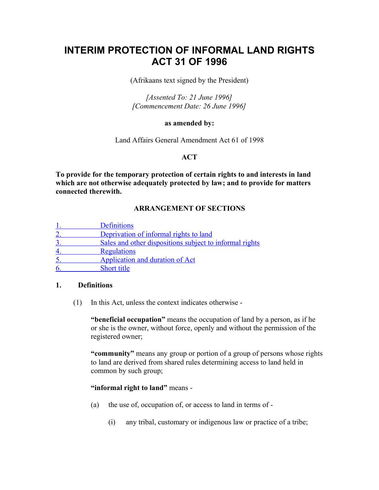# **INTERIM PROTECTION OF INFORMAL LAND RIGHTS ACT 31 OF 1996**

(Afrikaans text signed by the President)

*[Assented To: 21 June 1996] [Commencement Date: 26 June 1996]*

### **as amended by:**

Land Affairs General Amendment Act 61 of 1998

## **ACT**

**To provide for the temporary protection of certain rights to and interests in land which are not otherwise adequately protected by law; and to provide for matters connected therewith.**

## **ARRANGEMENT OF SECTIONS**

|                | <b>Definitions</b>                                      |
|----------------|---------------------------------------------------------|
| <u>2.</u>      | Deprivation of informal rights to land                  |
| 3 <sub>1</sub> | Sales and other dispositions subject to informal rights |
| 4.             | <b>Regulations</b>                                      |
| <u>5.</u>      | Application and duration of Act                         |
| 6              | Short title                                             |

## **1. Definitions**

(1) In this Act, unless the context indicates otherwise -

**"beneficial occupation"** means the occupation of land by a person, as if he or she is the owner, without force, openly and without the permission of the registered owner;

**"community"** means any group or portion of a group of persons whose rights to land are derived from shared rules determining access to land held in common by such group;

## **"informal right to land"** means -

- (a) the use of, occupation of, or access to land in terms of
	- (i) any tribal, customary or indigenous law or practice of a tribe;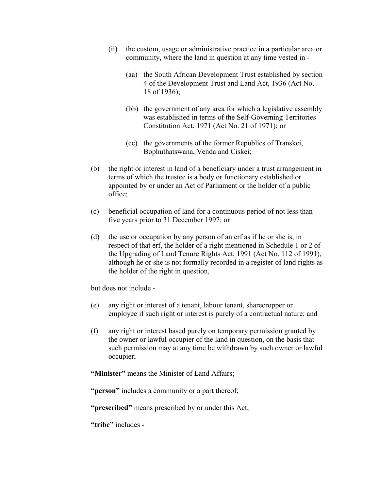- (ii) the custom, usage or administrative practice in a particular area or community, where the land in question at any time vested in -
	- (aa) the South African Development Trust established by section 4 of the Development Trust and Land Act, 1936 (Act No. 18 of 1936);
	- (bb) the government of any area for which a legislative assembly was established in terms of the Self-Governing Territories Constitution Act, 1971 (Act No. 21 of 1971); or
	- (cc) the governments of the former Republics of Transkei, Bophuthatswana, Venda and Ciskei;
- (b) the right or interest in land of a beneficiary under a trust arrangement in terms of which the trustee is a body or functionary established or appointed by or under an Act of Parliament or the holder of a public office;
- (c) beneficial occupation of land for a continuous period of not less than five years prior to 31 December 1997; or
- (d) the use or occupation by any person of an erf as if he or she is, in respect of that erf, the holder of a right mentioned in Schedule 1 or 2 of the Upgrading of Land Tenure Rights Act, 1991 (Act No. 112 of 1991), although he or she is not formally recorded in a register of land rights as the holder of the right in question,

but does not include -

- (e) any right or interest of a tenant, labour tenant, sharecropper or employee if such right or interest is purely of a contractual nature; and
- (f) any right or interest based purely on temporary permission granted by the owner or lawful occupier of the land in question, on the basis that such permission may at any time be withdrawn by such owner or lawful occupier;

**"Minister"** means the Minister of Land Affairs;

**"person"** includes a community or a part thereof;

**"prescribed"** means prescribed by or under this Act;

**"tribe"** includes -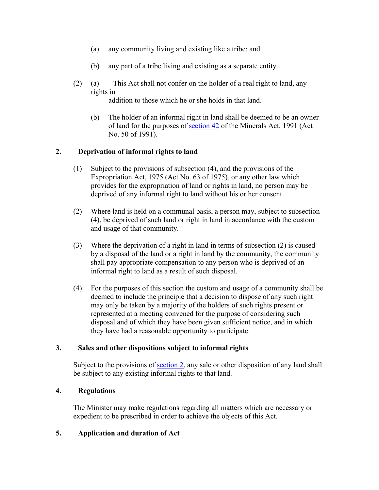- (a) any community living and existing like a tribe; and
- (b) any part of a tribe living and existing as a separate entity.
- (2) (a) This Act shall not confer on the holder of a real right to land, any rights in

addition to those which he or she holds in that land.

(b) The holder of an informal right in land shall be deemed to be an owner of land for the purposes of [section 42](http://search.sabinet.co.za/netlawpdf/netlaw/MINERALS%20ACT.htm#section42) of the Minerals Act, 1991 (Act No. 50 of 1991).

# **2. Deprivation of informal rights to land**

- (1) Subject to the provisions of subsection (4), and the provisions of the Expropriation Act, 1975 (Act No. 63 of 1975), or any other law which provides for the expropriation of land or rights in land, no person may be deprived of any informal right to land without his or her consent.
- (2) Where land is held on a communal basis, a person may, subject to subsection (4), be deprived of such land or right in land in accordance with the custom and usage of that community.
- (3) Where the deprivation of a right in land in terms of subsection (2) is caused by a disposal of the land or a right in land by the community, the community shall pay appropriate compensation to any person who is deprived of an informal right to land as a result of such disposal.
- (4) For the purposes of this section the custom and usage of a community shall be deemed to include the principle that a decision to dispose of any such right may only be taken by a majority of the holders of such rights present or represented at a meeting convened for the purpose of considering such disposal and of which they have been given sufficient notice, and in which they have had a reasonable opportunity to participate.

## **3. Sales and other dispositions subject to informal rights**

Subject to the provisions of [section 2,](http://search.sabinet.co.za/netlawpdf/netlaw/INTERIM%20PROTECTION%20OF%20INFORMAL%20LAND%20RIGHTS%20ACT.htm#section2%23section2) any sale or other disposition of any land shall be subject to any existing informal rights to that land.

## **4. Regulations**

The Minister may make regulations regarding all matters which are necessary or expedient to be prescribed in order to achieve the objects of this Act.

## **5. Application and duration of Act**